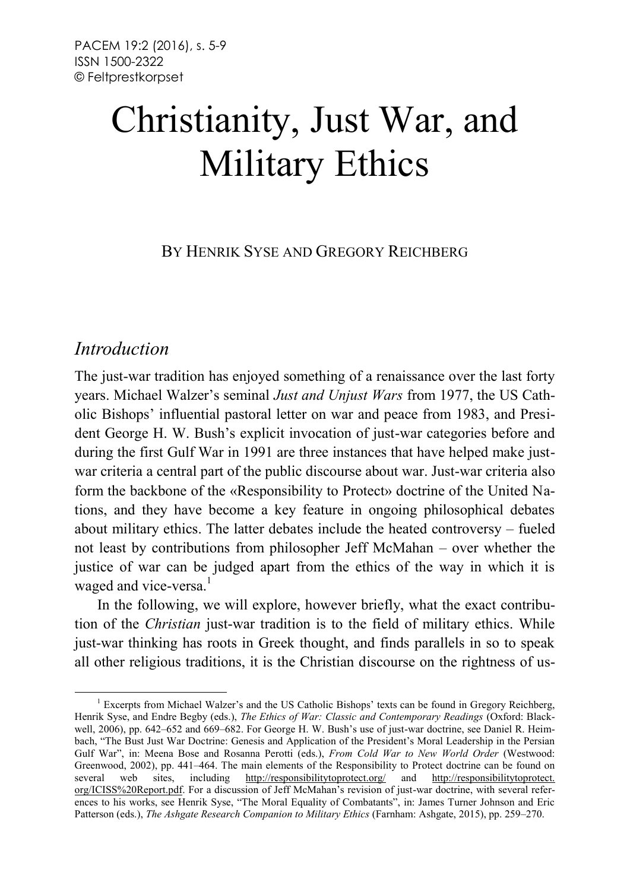# Christianity, Just War, and Military Ethics

BY HENRIK SYSE AND GREGORY REICHBERG

# *Introduction*

The just-war tradition has enjoyed something of a renaissance over the last forty years. Michael Walzer's seminal *Just and Unjust Wars* from 1977, the US Catholic Bishops' influential pastoral letter on war and peace from 1983, and President George H. W. Bush's explicit invocation of just-war categories before and during the first Gulf War in 1991 are three instances that have helped make justwar criteria a central part of the public discourse about war. Just-war criteria also form the backbone of the «Responsibility to Protect» doctrine of the United Nations, and they have become a key feature in ongoing philosophical debates about military ethics. The latter debates include the heated controversy – fueled not least by contributions from philosopher Jeff McMahan – over whether the justice of war can be judged apart from the ethics of the way in which it is waged and vice-versa.<sup>1</sup>

In the following, we will explore, however briefly, what the exact contribution of the *Christian* just-war tradition is to the field of military ethics. While just-war thinking has roots in Greek thought, and finds parallels in so to speak all other religious traditions, it is the Christian discourse on the rightness of us-

<sup>&</sup>lt;sup>1</sup> Excerpts from Michael Walzer's and the US Catholic Bishops' texts can be found in Gregory Reichberg, Henrik Syse, and Endre Begby (eds.), *The Ethics of War: Classic and Contemporary Readings* (Oxford: Blackwell, 2006), pp. 642–652 and 669–682. For George H. W. Bush's use of just-war doctrine, see Daniel R. Heimbach, "The Bust Just War Doctrine: Genesis and Application of the President's Moral Leadership in the Persian Gulf War", in: Meena Bose and Rosanna Perotti (eds.), *From Cold War to New World Order* (Westwood: Greenwood, 2002), pp. 441–464. The main elements of the Responsibility to Protect doctrine can be found on several web sites, including <http://responsibilitytoprotect.org/> and http://responsibilitytoprotect. org/ICISS%20Report.pdf. For a discussion of Jeff McMahan's revision of just-war doctrine, with several references to his works, see Henrik Syse, "The Moral Equality of Combatants", in: James Turner Johnson and Eric Patterson (eds.), *The Ashgate Research Companion to Military Ethics* (Farnham: Ashgate, 2015), pp. 259–270.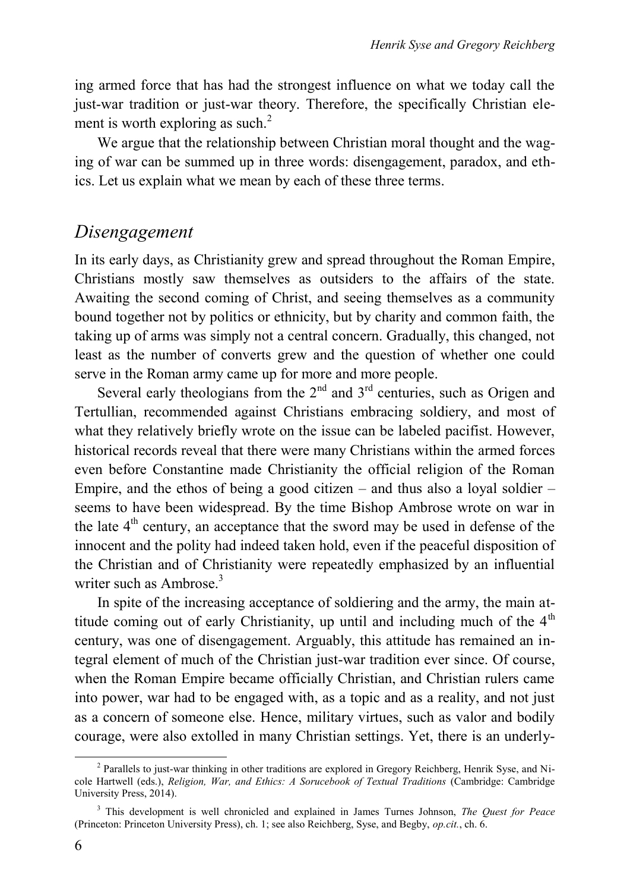ing armed force that has had the strongest influence on what we today call the just-war tradition or just-war theory. Therefore, the specifically Christian element is worth exploring as such. $<sup>2</sup>$ </sup>

We argue that the relationship between Christian moral thought and the waging of war can be summed up in three words: disengagement, paradox, and ethics. Let us explain what we mean by each of these three terms.

#### *Disengagement*

In its early days, as Christianity grew and spread throughout the Roman Empire, Christians mostly saw themselves as outsiders to the affairs of the state. Awaiting the second coming of Christ, and seeing themselves as a community bound together not by politics or ethnicity, but by charity and common faith, the taking up of arms was simply not a central concern. Gradually, this changed, not least as the number of converts grew and the question of whether one could serve in the Roman army came up for more and more people.

Several early theologians from the  $2<sup>nd</sup>$  and  $3<sup>rd</sup>$  centuries, such as Origen and Tertullian, recommended against Christians embracing soldiery, and most of what they relatively briefly wrote on the issue can be labeled pacifist. However, historical records reveal that there were many Christians within the armed forces even before Constantine made Christianity the official religion of the Roman Empire, and the ethos of being a good citizen – and thus also a loyal soldier – seems to have been widespread. By the time Bishop Ambrose wrote on war in the late  $4<sup>th</sup>$  century, an acceptance that the sword may be used in defense of the innocent and the polity had indeed taken hold, even if the peaceful disposition of the Christian and of Christianity were repeatedly emphasized by an influential writer such as  $Ambrose.<sup>3</sup>$ 

In spite of the increasing acceptance of soldiering and the army, the main attitude coming out of early Christianity, up until and including much of the  $4<sup>th</sup>$ century, was one of disengagement. Arguably, this attitude has remained an integral element of much of the Christian just-war tradition ever since. Of course, when the Roman Empire became officially Christian, and Christian rulers came into power, war had to be engaged with, as a topic and as a reality, and not just as a concern of someone else. Hence, military virtues, such as valor and bodily courage, were also extolled in many Christian settings. Yet, there is an underly-

<sup>&</sup>lt;sup>2</sup> Parallels to just-war thinking in other traditions are explored in Gregory Reichberg, Henrik Syse, and Nicole Hartwell (eds.), *Religion, War, and Ethics: A Sorucebook of Textual Traditions* (Cambridge: Cambridge University Press, 2014).

<sup>3</sup> This development is well chronicled and explained in James Turnes Johnson, *The Quest for Peace* (Princeton: Princeton University Press), ch. 1; see also Reichberg, Syse, and Begby, *op.cit.*, ch. 6.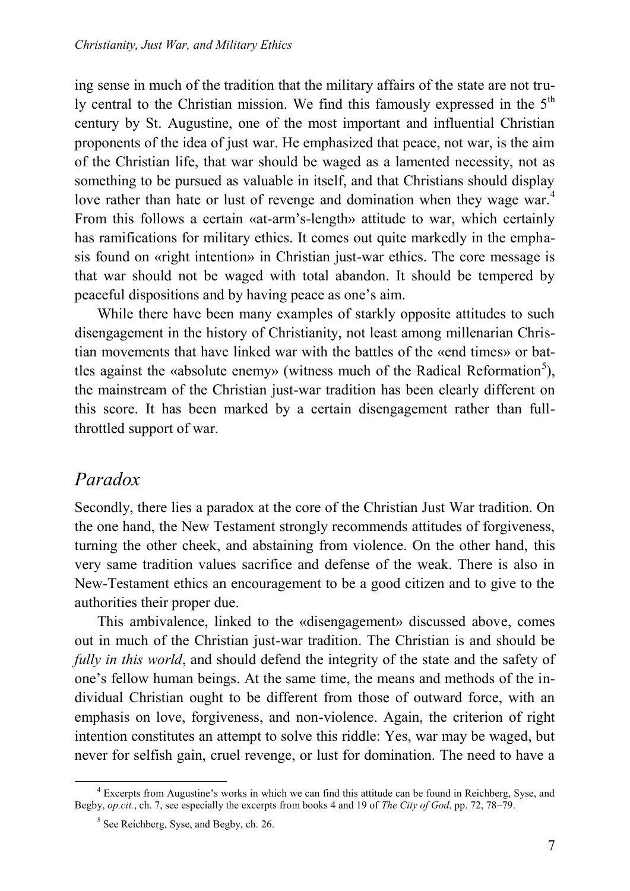ing sense in much of the tradition that the military affairs of the state are not truly central to the Christian mission. We find this famously expressed in the 5<sup>th</sup> century by St. Augustine, one of the most important and influential Christian proponents of the idea of just war. He emphasized that peace, not war, is the aim of the Christian life, that war should be waged as a lamented necessity, not as something to be pursued as valuable in itself, and that Christians should display love rather than hate or lust of revenge and domination when they wage war.<sup>4</sup> From this follows a certain «at-arm's-length» attitude to war, which certainly has ramifications for military ethics. It comes out quite markedly in the emphasis found on «right intention» in Christian just-war ethics. The core message is that war should not be waged with total abandon. It should be tempered by peaceful dispositions and by having peace as one's aim.

While there have been many examples of starkly opposite attitudes to such disengagement in the history of Christianity, not least among millenarian Christian movements that have linked war with the battles of the «end times» or battles against the «absolute enemy» (witness much of the Radical Reformation<sup>5</sup>), the mainstream of the Christian just-war tradition has been clearly different on this score. It has been marked by a certain disengagement rather than fullthrottled support of war.

## *Paradox*

Secondly, there lies a paradox at the core of the Christian Just War tradition. On the one hand, the New Testament strongly recommends attitudes of forgiveness, turning the other cheek, and abstaining from violence. On the other hand, this very same tradition values sacrifice and defense of the weak. There is also in New-Testament ethics an encouragement to be a good citizen and to give to the authorities their proper due.

This ambivalence, linked to the «disengagement» discussed above, comes out in much of the Christian just-war tradition. The Christian is and should be *fully in this world*, and should defend the integrity of the state and the safety of one's fellow human beings. At the same time, the means and methods of the individual Christian ought to be different from those of outward force, with an emphasis on love, forgiveness, and non-violence. Again, the criterion of right intention constitutes an attempt to solve this riddle: Yes, war may be waged, but never for selfish gain, cruel revenge, or lust for domination. The need to have a

 <sup>4</sup> Excerpts from Augustine's works in which we can find this attitude can be found in Reichberg, Syse, and Begby, *op.cit.*, ch. 7, see especially the excerpts from books 4 and 19 of *The City of God*, pp. 72, 78–79.

<sup>5</sup> See Reichberg, Syse, and Begby, ch. 26.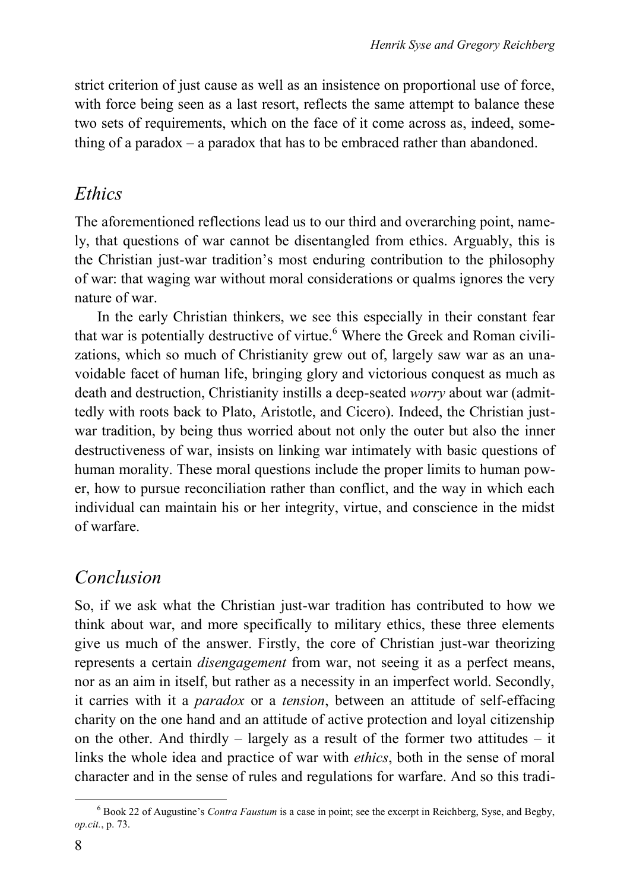strict criterion of just cause as well as an insistence on proportional use of force, with force being seen as a last resort, reflects the same attempt to balance these two sets of requirements, which on the face of it come across as, indeed, something of a paradox – a paradox that has to be embraced rather than abandoned.

### *Ethics*

The aforementioned reflections lead us to our third and overarching point, namely, that questions of war cannot be disentangled from ethics. Arguably, this is the Christian just-war tradition's most enduring contribution to the philosophy of war: that waging war without moral considerations or qualms ignores the very nature of war.

In the early Christian thinkers, we see this especially in their constant fear that war is potentially destructive of virtue.<sup>6</sup> Where the Greek and Roman civilizations, which so much of Christianity grew out of, largely saw war as an unavoidable facet of human life, bringing glory and victorious conquest as much as death and destruction, Christianity instills a deep-seated *worry* about war (admittedly with roots back to Plato, Aristotle, and Cicero). Indeed, the Christian justwar tradition, by being thus worried about not only the outer but also the inner destructiveness of war, insists on linking war intimately with basic questions of human morality. These moral questions include the proper limits to human power, how to pursue reconciliation rather than conflict, and the way in which each individual can maintain his or her integrity, virtue, and conscience in the midst of warfare.

# *Conclusion*

So, if we ask what the Christian just-war tradition has contributed to how we think about war, and more specifically to military ethics, these three elements give us much of the answer. Firstly, the core of Christian just-war theorizing represents a certain *disengagement* from war, not seeing it as a perfect means, nor as an aim in itself, but rather as a necessity in an imperfect world. Secondly, it carries with it a *paradox* or a *tension*, between an attitude of self-effacing charity on the one hand and an attitude of active protection and loyal citizenship on the other. And thirdly – largely as a result of the former two attitudes – it links the whole idea and practice of war with *ethics*, both in the sense of moral character and in the sense of rules and regulations for warfare. And so this tradi-

 <sup>6</sup> Book 22 of Augustine's *Contra Faustum* is a case in point; see the excerpt in Reichberg, Syse, and Begby, *op.cit.*, p. 73.